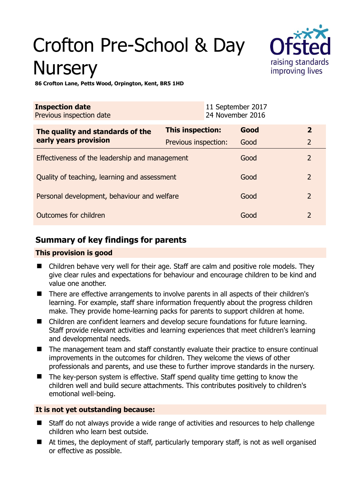# Crofton Pre-School & Day **Nursery**



**86 Crofton Lane, Petts Wood, Orpington, Kent, BR5 1HD** 

| <b>Inspection date</b><br>Previous inspection date        |                         | 11 September 2017<br>24 November 2016 |                |
|-----------------------------------------------------------|-------------------------|---------------------------------------|----------------|
| The quality and standards of the<br>early years provision | <b>This inspection:</b> | Good                                  | $\mathbf{2}$   |
|                                                           | Previous inspection:    | Good                                  | $\overline{2}$ |
| Effectiveness of the leadership and management            |                         | Good                                  | $\overline{2}$ |
| Quality of teaching, learning and assessment              |                         | Good                                  | $\mathcal{P}$  |
| Personal development, behaviour and welfare               |                         | Good                                  | $\overline{2}$ |
| Outcomes for children                                     |                         | Good                                  | 2              |

# **Summary of key findings for parents**

## **This provision is good**

- Children behave very well for their age. Staff are calm and positive role models. They give clear rules and expectations for behaviour and encourage children to be kind and value one another.
- There are effective arrangements to involve parents in all aspects of their children's learning. For example, staff share information frequently about the progress children make. They provide home-learning packs for parents to support children at home.
- Children are confident learners and develop secure foundations for future learning. Staff provide relevant activities and learning experiences that meet children's learning and developmental needs.
- The management team and staff constantly evaluate their practice to ensure continual improvements in the outcomes for children. They welcome the views of other professionals and parents, and use these to further improve standards in the nursery.
- The key-person system is effective. Staff spend quality time getting to know the children well and build secure attachments. This contributes positively to children's emotional well-being.

## **It is not yet outstanding because:**

- Staff do not always provide a wide range of activities and resources to help challenge children who learn best outside.
- At times, the deployment of staff, particularly temporary staff, is not as well organised or effective as possible.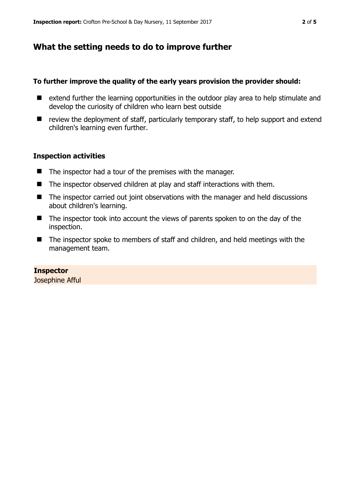## **What the setting needs to do to improve further**

#### **To further improve the quality of the early years provision the provider should:**

- extend further the learning opportunities in the outdoor play area to help stimulate and develop the curiosity of children who learn best outside
- review the deployment of staff, particularly temporary staff, to help support and extend children's learning even further.

#### **Inspection activities**

- The inspector had a tour of the premises with the manager.
- The inspector observed children at play and staff interactions with them.
- The inspector carried out joint observations with the manager and held discussions about children's learning.
- The inspector took into account the views of parents spoken to on the day of the inspection.
- The inspector spoke to members of staff and children, and held meetings with the management team.

**Inspector**  Josephine Afful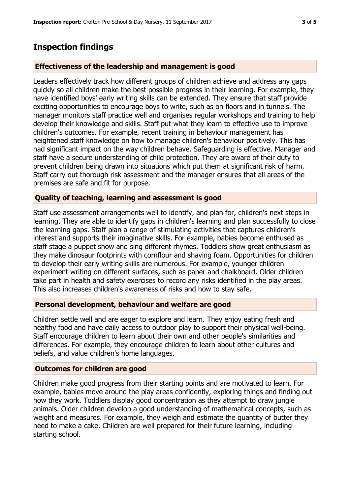# **Inspection findings**

## **Effectiveness of the leadership and management is good**

Leaders effectively track how different groups of children achieve and address any gaps quickly so all children make the best possible progress in their learning. For example, they have identified boys' early writing skills can be extended. They ensure that staff provide exciting opportunities to encourage boys to write, such as on floors and in tunnels. The manager monitors staff practice well and organises regular workshops and training to help develop their knowledge and skills. Staff put what they learn to effective use to improve children's outcomes. For example, recent training in behaviour management has heightened staff knowledge on how to manage children's behaviour positively. This has had significant impact on the way children behave. Safeguarding is effective. Manager and staff have a secure understanding of child protection. They are aware of their duty to prevent children being drawn into situations which put them at significant risk of harm. Staff carry out thorough risk assessment and the manager ensures that all areas of the premises are safe and fit for purpose.

## **Quality of teaching, learning and assessment is good**

Staff use assessment arrangements well to identify, and plan for, children's next steps in learning. They are able to identify gaps in children's learning and plan successfully to close the learning gaps. Staff plan a range of stimulating activities that captures children's interest and supports their imaginative skills. For example, babies become enthused as staff stage a puppet show and sing different rhymes. Toddlers show great enthusiasm as they make dinosaur footprints with cornflour and shaving foam. Opportunities for children to develop their early writing skills are numerous. For example, younger children experiment writing on different surfaces, such as paper and chalkboard. Older children take part in health and safety exercises to record any risks identified in the play areas. This also increases children's awareness of risks and how to stay safe.

#### **Personal development, behaviour and welfare are good**

Children settle well and are eager to explore and learn. They enjoy eating fresh and healthy food and have daily access to outdoor play to support their physical well-being. Staff encourage children to learn about their own and other people's similarities and differences. For example, they encourage children to learn about other cultures and beliefs, and value children's home languages.

#### **Outcomes for children are good**

Children make good progress from their starting points and are motivated to learn. For example, babies move around the play areas confidently, exploring things and finding out how they work. Toddlers display good concentration as they attempt to draw jungle animals. Older children develop a good understanding of mathematical concepts, such as weight and measures. For example, they weigh and estimate the quantity of butter they need to make a cake. Children are well prepared for their future learning, including starting school.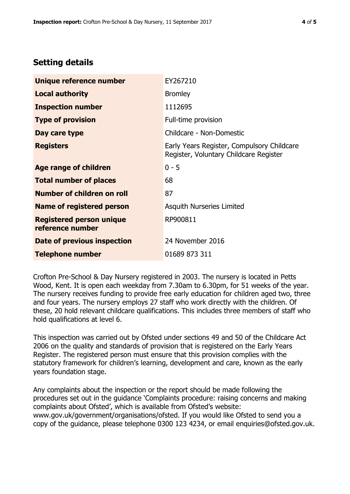# **Setting details**

| Unique reference number                             | EY267210                                                                             |  |
|-----------------------------------------------------|--------------------------------------------------------------------------------------|--|
| <b>Local authority</b>                              | <b>Bromley</b>                                                                       |  |
| <b>Inspection number</b>                            | 1112695                                                                              |  |
| <b>Type of provision</b>                            | Full-time provision                                                                  |  |
| Day care type                                       | Childcare - Non-Domestic                                                             |  |
| <b>Registers</b>                                    | Early Years Register, Compulsory Childcare<br>Register, Voluntary Childcare Register |  |
| Age range of children                               | $0 - 5$                                                                              |  |
| <b>Total number of places</b>                       | 68                                                                                   |  |
| Number of children on roll                          | 87                                                                                   |  |
| Name of registered person                           | <b>Asquith Nurseries Limited</b>                                                     |  |
| <b>Registered person unique</b><br>reference number | RP900811                                                                             |  |
| Date of previous inspection                         | 24 November 2016                                                                     |  |
| <b>Telephone number</b>                             | 01689 873 311                                                                        |  |

Crofton Pre-School & Day Nursery registered in 2003. The nursery is located in Petts Wood, Kent. It is open each weekday from 7.30am to 6.30pm, for 51 weeks of the year. The nursery receives funding to provide free early education for children aged two, three and four years. The nursery employs 27 staff who work directly with the children. Of these, 20 hold relevant childcare qualifications. This includes three members of staff who hold qualifications at level 6.

This inspection was carried out by Ofsted under sections 49 and 50 of the Childcare Act 2006 on the quality and standards of provision that is registered on the Early Years Register. The registered person must ensure that this provision complies with the statutory framework for children's learning, development and care, known as the early years foundation stage.

Any complaints about the inspection or the report should be made following the procedures set out in the guidance 'Complaints procedure: raising concerns and making complaints about Ofsted', which is available from Ofsted's website: www.gov.uk/government/organisations/ofsted. If you would like Ofsted to send you a copy of the guidance, please telephone 0300 123 4234, or email enquiries@ofsted.gov.uk.